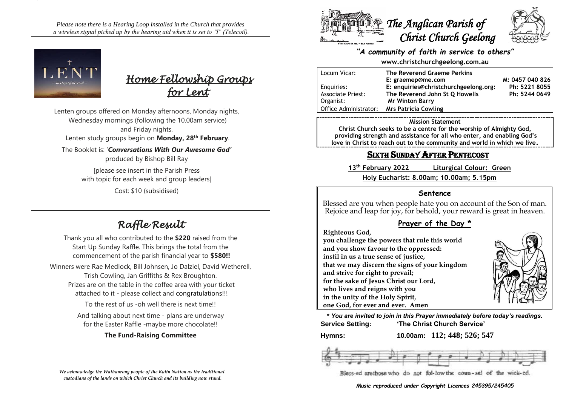*Please note there is a Hearing Loop installed in the Church that provides a wireless signal picked up by the hearing aid when it is set to 'T' (Telecoil).*





Lenten groups offered on Monday afternoons, Monday nights, Wednesday mornings (following the 10.00am service) and Friday nights. Lenten study groups begin on **Monday, 28th February**. The Booklet is: '*Conversations With Our Awesome God'* produced by Bishop Bill Ray [please see insert in the Parish Press with topic for each week and group leaders]

Cost: \$10 (subsidised)

# *Raffle Result*

Thank you all who contributed to the **\$220** raised from the Start Up Sunday Raffle. This brings the total from the commencement of the parish financial year to **\$580!!** Winners were Rae Medlock, Bill Johnsen, Jo Dalziel, David Wetherell, Trish Cowling, Jan Griffiths & Rex Broughton. Prizes are on the table in the coffee area with your ticket attached to it - please collect and congratulations!!! To the rest of us -oh well there is next time!!

And talking about next time - plans are underway for the Easter Raffle -maybe more chocolate!!

## **The Fund-Raising Committee**





## *"A community of faith in service to others"*

**www.christchurchgeelong.com.au**

| Locum Vicar:             | The Reverend Graeme Perkins           |                 |
|--------------------------|---------------------------------------|-----------------|
|                          | E: graemep@me.com                     | M: 0457 040 826 |
| Enguiries:               | E: enquiries@christchurchgeelong.org: | Ph: 5221 8055   |
| <b>Associate Priest:</b> | The Reverend John St Q Howells        | Ph: 5244 0649   |
| Organist:                | <b>Mr Winton Barry</b>                |                 |
| Office Administrator:    | Mrs Patricia Cowling                  |                 |

#### **Mission Statement**

**Christ Church seeks to be a centre for the worship of Almighty God, providing strength and assistance for all who enter, and enabling God's love in Christ to reach out to the community and world in which we live.**

## SIXTH SUNDAY AFTER PENTECOST

**13th February 2022 Liturgical Colour: Green Holy Eucharist: 8.00am; 10.00am; 5.15pm**

## **Sentence**

Blessed are you when people hate you on account of the Son of man. Rejoice and leap for joy, for behold, your reward is great in heaven.

## **Prayer of the Day \***

**Righteous God,**

**you challenge the powers that rule this world and you show favour to the oppressed: instil in us a true sense of justice, that we may discern the signs of your kingdom and strive for right to prevail; for the sake of Jesus Christ our Lord, who lives and reigns with you in the unity of the Holy Spirit, one God, for ever and ever. Amen**



**\*** *You are invited to join in this Prayer immediately before today's readings.* **Service Setting: 'The Christ Church Service'**

**Hymns: 10.00am: 112; 448; 526; 547**



#### *Music reproduced under Copyright Licences 245395/245405*